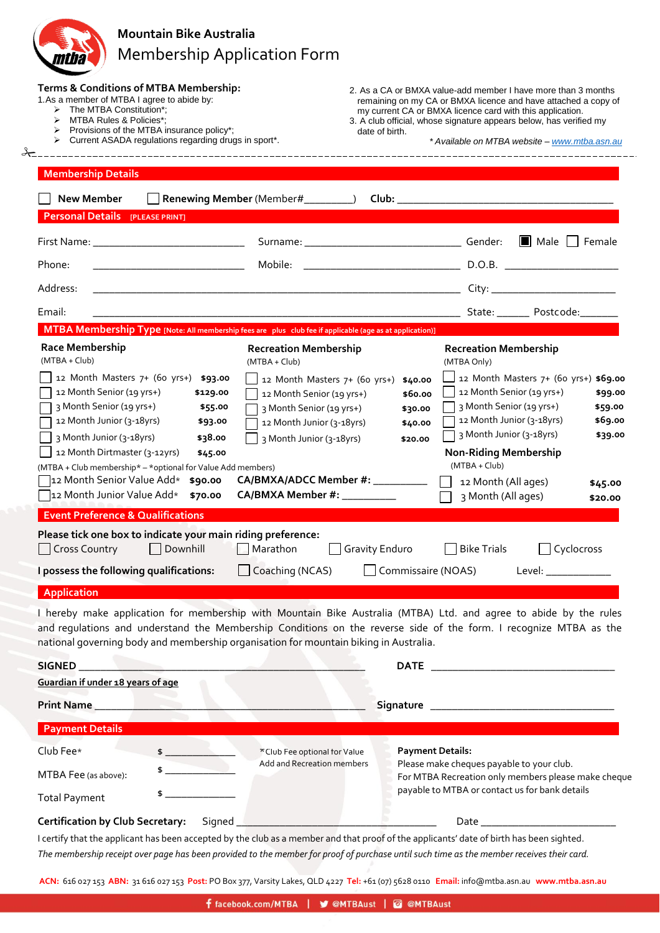

## **Mountain Bike Australia** Membership Application Form

| Terms & Conditions of MTBA Membership:<br>1.As a member of MTBA I agree to abide by:<br>$\triangleright$ The MTBA Constitution*;<br>MTBA Rules & Policies*;<br>➤<br>$\triangleright$ Provisions of the MTBA insurance policy*;<br>> Current ASADA regulations regarding drugs in sport*.<br>$\lambda$                                                                                                                                                                                                                                                                                                                                                                                                                                                                                                                                                                                            | 2. As a CA or BMXA value-add member I have more than 3 months<br>remaining on my CA or BMXA licence and have attached a copy of<br>my current CA or BMXA licence card with this application.<br>3. A club official, whose signature appears below, has verified my<br>date of birth.<br>* Available on MTBA website - www.mtba.asn.au                                                                                                                                                                                                                                                               |
|--------------------------------------------------------------------------------------------------------------------------------------------------------------------------------------------------------------------------------------------------------------------------------------------------------------------------------------------------------------------------------------------------------------------------------------------------------------------------------------------------------------------------------------------------------------------------------------------------------------------------------------------------------------------------------------------------------------------------------------------------------------------------------------------------------------------------------------------------------------------------------------------------|-----------------------------------------------------------------------------------------------------------------------------------------------------------------------------------------------------------------------------------------------------------------------------------------------------------------------------------------------------------------------------------------------------------------------------------------------------------------------------------------------------------------------------------------------------------------------------------------------------|
| <b>Membership Details</b>                                                                                                                                                                                                                                                                                                                                                                                                                                                                                                                                                                                                                                                                                                                                                                                                                                                                        |                                                                                                                                                                                                                                                                                                                                                                                                                                                                                                                                                                                                     |
| <b>New Member</b>                                                                                                                                                                                                                                                                                                                                                                                                                                                                                                                                                                                                                                                                                                                                                                                                                                                                                |                                                                                                                                                                                                                                                                                                                                                                                                                                                                                                                                                                                                     |
| Personal Details [PLEASE PRINT]                                                                                                                                                                                                                                                                                                                                                                                                                                                                                                                                                                                                                                                                                                                                                                                                                                                                  |                                                                                                                                                                                                                                                                                                                                                                                                                                                                                                                                                                                                     |
|                                                                                                                                                                                                                                                                                                                                                                                                                                                                                                                                                                                                                                                                                                                                                                                                                                                                                                  | Male Female                                                                                                                                                                                                                                                                                                                                                                                                                                                                                                                                                                                         |
| Mobile:<br>Phone:<br><u> 1989 - Johann Barbara, martin a</u>                                                                                                                                                                                                                                                                                                                                                                                                                                                                                                                                                                                                                                                                                                                                                                                                                                     |                                                                                                                                                                                                                                                                                                                                                                                                                                                                                                                                                                                                     |
| Address:                                                                                                                                                                                                                                                                                                                                                                                                                                                                                                                                                                                                                                                                                                                                                                                                                                                                                         |                                                                                                                                                                                                                                                                                                                                                                                                                                                                                                                                                                                                     |
| Email:                                                                                                                                                                                                                                                                                                                                                                                                                                                                                                                                                                                                                                                                                                                                                                                                                                                                                           |                                                                                                                                                                                                                                                                                                                                                                                                                                                                                                                                                                                                     |
| MTBA Membership Type [Note: All membership fees are plus club fee if applicable (age as at application)]                                                                                                                                                                                                                                                                                                                                                                                                                                                                                                                                                                                                                                                                                                                                                                                         |                                                                                                                                                                                                                                                                                                                                                                                                                                                                                                                                                                                                     |
| <b>Race Membership</b><br><b>Recreation Membership</b><br>(MTBA + Club)<br>(MTBA + Club)<br>12 Month Masters 7+ (60 yrs+) \$93.00<br>12 Month Senior (19 yrs+)<br>\$129.00<br>12 Month Senior (19 yrs+)<br>3 Month Senior (19 yrs+)<br>\$55.00<br>3 Month Senior (19 yrs+)<br>12 Month Junior (3-18yrs)<br>12 Month Junior (3-18yrs)<br>\$93.00<br>3 Month Junior (3-18yrs)<br>\$38.00<br>3 Month Junior (3-18yrs)<br>12 Month Dirtmaster (3-12yrs)<br>\$45.00<br>(MTBA + Club membership* - * optional for Value Add members)<br>$\sqrt{ }$ 12 Month Senior Value Add*<br>\$90.00<br>CA/BMXA Member #: __________<br>$\Box$ 12 Month Junior Value Add*<br>\$70.00<br><b>Event Preference &amp; Qualifications</b><br>Please tick one box to indicate your main riding preference:<br><b>Cross Country</b><br>Downhill<br>Marathon<br>I possess the following qualifications:<br>Coaching (NCAS) | <b>Recreation Membership</b><br>(MTBA Only)<br>12 Month Masters $7+$ (60 yrs+) \$69.00<br>12 Month Masters 7+ (60 yrs+)<br>\$40.00<br>12 Month Senior (19 yrs+)<br>\$60.00<br>\$99.00<br>3 Month Senior (19 yrs+)<br>\$59.00<br>\$30.00<br>12 Month Junior (3-18yrs)<br>\$69.00<br>\$40.00<br>3 Month Junior (3-18yrs)<br>\$39.00<br>\$20.00<br><b>Non-Riding Membership</b><br>(MTBA + Club)<br>CA/BMXA/ADCC Member #: _________<br>$\sim$<br>12 Month (All ages)<br>\$45.00<br>3 Month (All ages)<br>\$20.00<br><b>Bike Trials</b><br><b>Gravity Enduro</b><br>Cyclocross<br>  Commissaire (NOAS) |
|                                                                                                                                                                                                                                                                                                                                                                                                                                                                                                                                                                                                                                                                                                                                                                                                                                                                                                  | Level: <b>Example 19</b>                                                                                                                                                                                                                                                                                                                                                                                                                                                                                                                                                                            |
| <b>Application</b><br>national governing body and membership organisation for mountain biking in Australia.<br>the company of the company of the company of                                                                                                                                                                                                                                                                                                                                                                                                                                                                                                                                                                                                                                                                                                                                      | I hereby make application for membership with Mountain Bike Australia (MTBA) Ltd. and agree to abide by the rules<br>and regulations and understand the Membership Conditions on the reverse side of the form. I recognize MTBA as the                                                                                                                                                                                                                                                                                                                                                              |
| Guardian if under 18 years of age                                                                                                                                                                                                                                                                                                                                                                                                                                                                                                                                                                                                                                                                                                                                                                                                                                                                |                                                                                                                                                                                                                                                                                                                                                                                                                                                                                                                                                                                                     |
|                                                                                                                                                                                                                                                                                                                                                                                                                                                                                                                                                                                                                                                                                                                                                                                                                                                                                                  |                                                                                                                                                                                                                                                                                                                                                                                                                                                                                                                                                                                                     |
| <b>Payment Details</b>                                                                                                                                                                                                                                                                                                                                                                                                                                                                                                                                                                                                                                                                                                                                                                                                                                                                           |                                                                                                                                                                                                                                                                                                                                                                                                                                                                                                                                                                                                     |
| Club Fee*<br>*Club Fee optional for Value<br>Add and Recreation members<br><b>Contract Contract Contract</b><br>MTBA Fee (as above):<br><b>Total Payment</b>                                                                                                                                                                                                                                                                                                                                                                                                                                                                                                                                                                                                                                                                                                                                     | <b>Payment Details:</b><br>Please make cheques payable to your club.<br>For MTBA Recreation only members please make cheque<br>payable to MTBA or contact us for bank details                                                                                                                                                                                                                                                                                                                                                                                                                       |
|                                                                                                                                                                                                                                                                                                                                                                                                                                                                                                                                                                                                                                                                                                                                                                                                                                                                                                  | I certify that the applicant has been accepted by the club as a member and that proof of the applicants' date of birth has been sighted.                                                                                                                                                                                                                                                                                                                                                                                                                                                            |

*The membership receipt over page has been provided to the member for proof of purchase until such time as the member receives their card.* 

**ACN:** 616 027 153 **ABN:** 31 616 027 153 **Post:** PO Box 377, Varsity Lakes, QLD 4227 **Tel:** +61 (07) 5628 0110 **Email:** info@mtba.asn.au **www.mtba.asn.au**